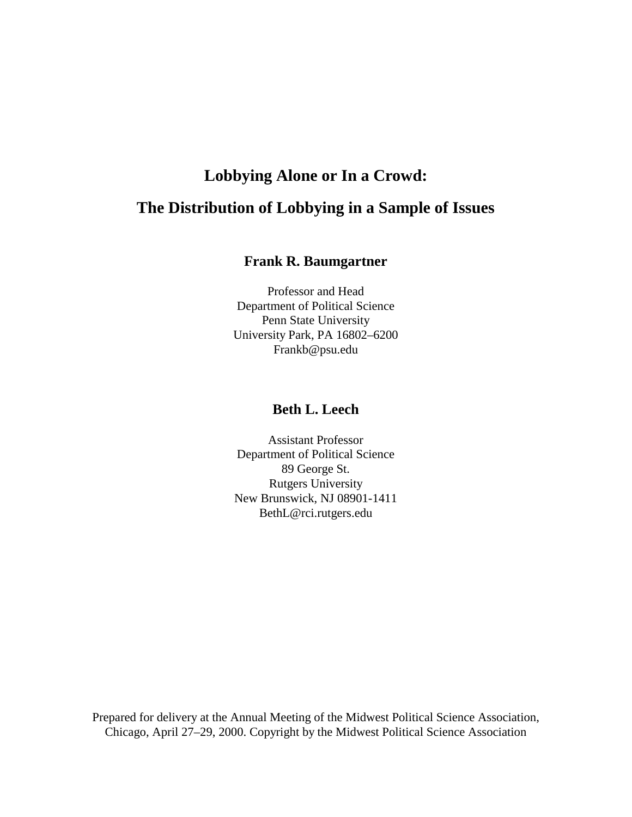# **Lobbying Alone or In a Crowd: The Distribution of Lobbying in a Sample of Issues**

#### **Frank R. Baumgartner**

Professor and Head Department of Political Science Penn State University University Park, PA 16802–6200 Frankb@psu.edu

## **Beth L. Leech**

Assistant Professor Department of Political Science 89 George St. Rutgers University New Brunswick, NJ 08901-1411 BethL@rci.rutgers.edu

Prepared for delivery at the Annual Meeting of the Midwest Political Science Association, Chicago, April 27–29, 2000. Copyright by the Midwest Political Science Association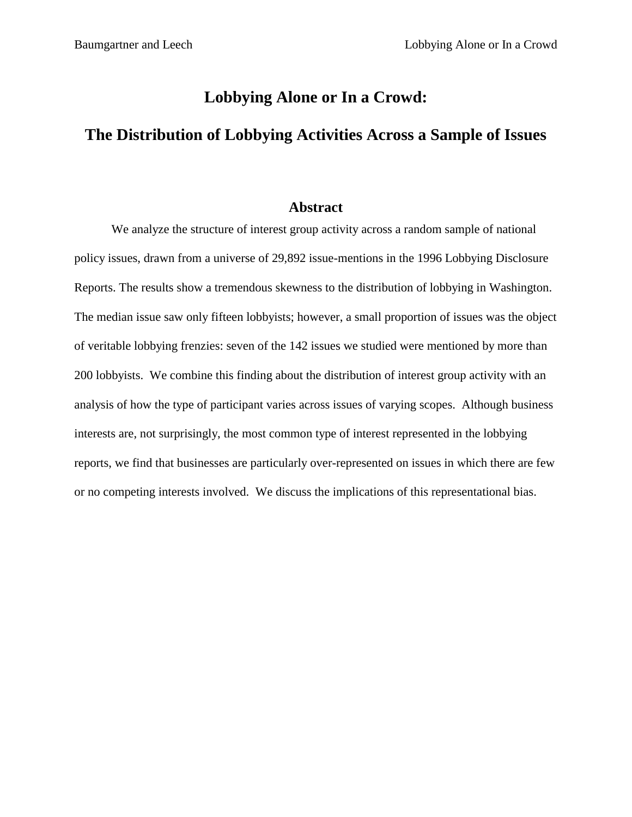## **Lobbying Alone or In a Crowd:**

# **The Distribution of Lobbying Activities Across a Sample of Issues**

#### **Abstract**

We analyze the structure of interest group activity across a random sample of national policy issues, drawn from a universe of 29,892 issue-mentions in the 1996 Lobbying Disclosure Reports. The results show a tremendous skewness to the distribution of lobbying in Washington. The median issue saw only fifteen lobbyists; however, a small proportion of issues was the object of veritable lobbying frenzies: seven of the 142 issues we studied were mentioned by more than 200 lobbyists. We combine this finding about the distribution of interest group activity with an analysis of how the type of participant varies across issues of varying scopes. Although business interests are, not surprisingly, the most common type of interest represented in the lobbying reports, we find that businesses are particularly over-represented on issues in which there are few or no competing interests involved. We discuss the implications of this representational bias.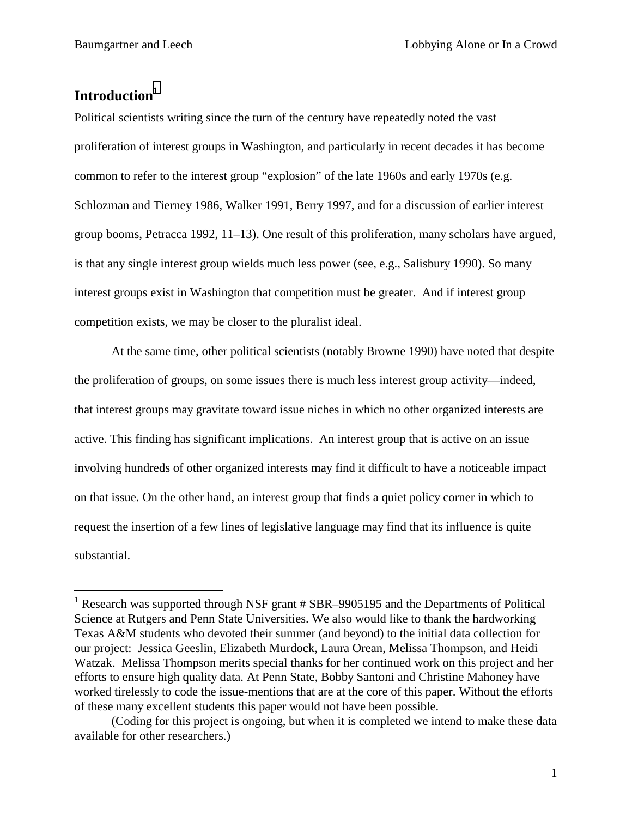# **Introduction1**

 $\overline{a}$ 

Political scientists writing since the turn of the century have repeatedly noted the vast proliferation of interest groups in Washington, and particularly in recent decades it has become common to refer to the interest group "explosion" of the late 1960s and early 1970s (e.g. Schlozman and Tierney 1986, Walker 1991, Berry 1997, and for a discussion of earlier interest group booms, Petracca 1992, 11–13). One result of this proliferation, many scholars have argued, is that any single interest group wields much less power (see, e.g., Salisbury 1990). So many interest groups exist in Washington that competition must be greater. And if interest group competition exists, we may be closer to the pluralist ideal.

At the same time, other political scientists (notably Browne 1990) have noted that despite the proliferation of groups, on some issues there is much less interest group activity—indeed, that interest groups may gravitate toward issue niches in which no other organized interests are active. This finding has significant implications. An interest group that is active on an issue involving hundreds of other organized interests may find it difficult to have a noticeable impact on that issue. On the other hand, an interest group that finds a quiet policy corner in which to request the insertion of a few lines of legislative language may find that its influence is quite substantial.

<sup>&</sup>lt;sup>1</sup> Research was supported through NSF grant # SBR-9905195 and the Departments of Political Science at Rutgers and Penn State Universities. We also would like to thank the hardworking Texas A&M students who devoted their summer (and beyond) to the initial data collection for our project: Jessica Geeslin, Elizabeth Murdock, Laura Orean, Melissa Thompson, and Heidi Watzak. Melissa Thompson merits special thanks for her continued work on this project and her efforts to ensure high quality data. At Penn State, Bobby Santoni and Christine Mahoney have worked tirelessly to code the issue-mentions that are at the core of this paper. Without the efforts of these many excellent students this paper would not have been possible.

 <sup>(</sup>Coding for this project is ongoing, but when it is completed we intend to make these data available for other researchers.)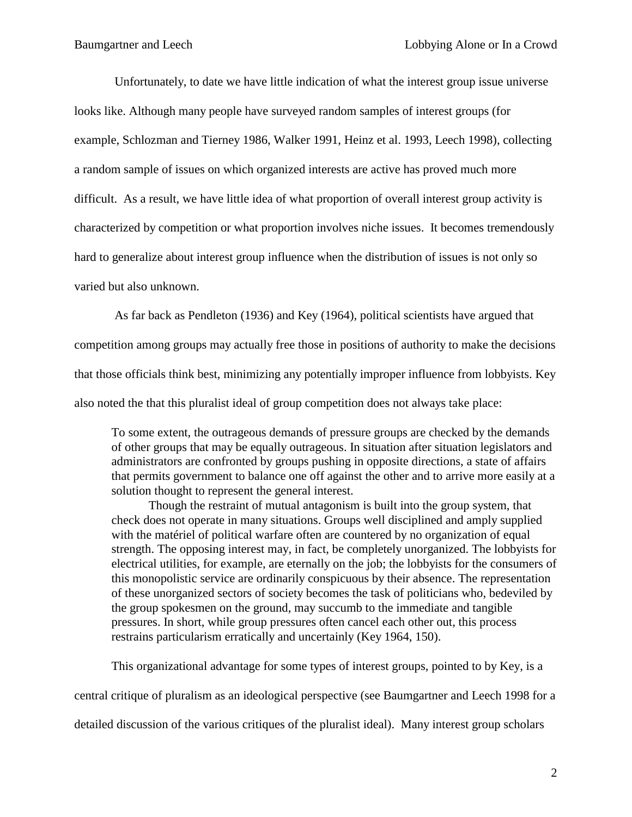Unfortunately, to date we have little indication of what the interest group issue universe looks like. Although many people have surveyed random samples of interest groups (for example, Schlozman and Tierney 1986, Walker 1991, Heinz et al. 1993, Leech 1998), collecting a random sample of issues on which organized interests are active has proved much more difficult. As a result, we have little idea of what proportion of overall interest group activity is characterized by competition or what proportion involves niche issues. It becomes tremendously hard to generalize about interest group influence when the distribution of issues is not only so varied but also unknown.

 As far back as Pendleton (1936) and Key (1964), political scientists have argued that competition among groups may actually free those in positions of authority to make the decisions that those officials think best, minimizing any potentially improper influence from lobbyists. Key also noted the that this pluralist ideal of group competition does not always take place:

To some extent, the outrageous demands of pressure groups are checked by the demands of other groups that may be equally outrageous. In situation after situation legislators and administrators are confronted by groups pushing in opposite directions, a state of affairs that permits government to balance one off against the other and to arrive more easily at a solution thought to represent the general interest.

Though the restraint of mutual antagonism is built into the group system, that check does not operate in many situations. Groups well disciplined and amply supplied with the matériel of political warfare often are countered by no organization of equal strength. The opposing interest may, in fact, be completely unorganized. The lobbyists for electrical utilities, for example, are eternally on the job; the lobbyists for the consumers of this monopolistic service are ordinarily conspicuous by their absence. The representation of these unorganized sectors of society becomes the task of politicians who, bedeviled by the group spokesmen on the ground, may succumb to the immediate and tangible pressures. In short, while group pressures often cancel each other out, this process restrains particularism erratically and uncertainly (Key 1964, 150).

This organizational advantage for some types of interest groups, pointed to by Key, is a

central critique of pluralism as an ideological perspective (see Baumgartner and Leech 1998 for a

detailed discussion of the various critiques of the pluralist ideal). Many interest group scholars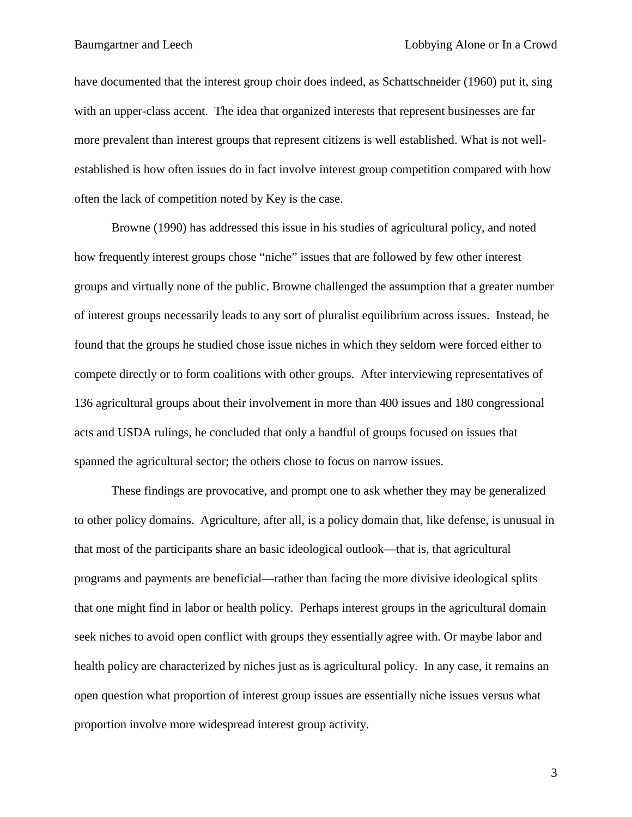have documented that the interest group choir does indeed, as Schattschneider (1960) put it, sing with an upper-class accent. The idea that organized interests that represent businesses are far more prevalent than interest groups that represent citizens is well established. What is not wellestablished is how often issues do in fact involve interest group competition compared with how often the lack of competition noted by Key is the case.

Browne (1990) has addressed this issue in his studies of agricultural policy, and noted how frequently interest groups chose "niche" issues that are followed by few other interest groups and virtually none of the public. Browne challenged the assumption that a greater number of interest groups necessarily leads to any sort of pluralist equilibrium across issues. Instead, he found that the groups he studied chose issue niches in which they seldom were forced either to compete directly or to form coalitions with other groups. After interviewing representatives of 136 agricultural groups about their involvement in more than 400 issues and 180 congressional acts and USDA rulings, he concluded that only a handful of groups focused on issues that spanned the agricultural sector; the others chose to focus on narrow issues.

 These findings are provocative, and prompt one to ask whether they may be generalized to other policy domains. Agriculture, after all, is a policy domain that, like defense, is unusual in that most of the participants share an basic ideological outlook—that is, that agricultural programs and payments are beneficial—rather than facing the more divisive ideological splits that one might find in labor or health policy. Perhaps interest groups in the agricultural domain seek niches to avoid open conflict with groups they essentially agree with. Or maybe labor and health policy are characterized by niches just as is agricultural policy. In any case, it remains an open question what proportion of interest group issues are essentially niche issues versus what proportion involve more widespread interest group activity.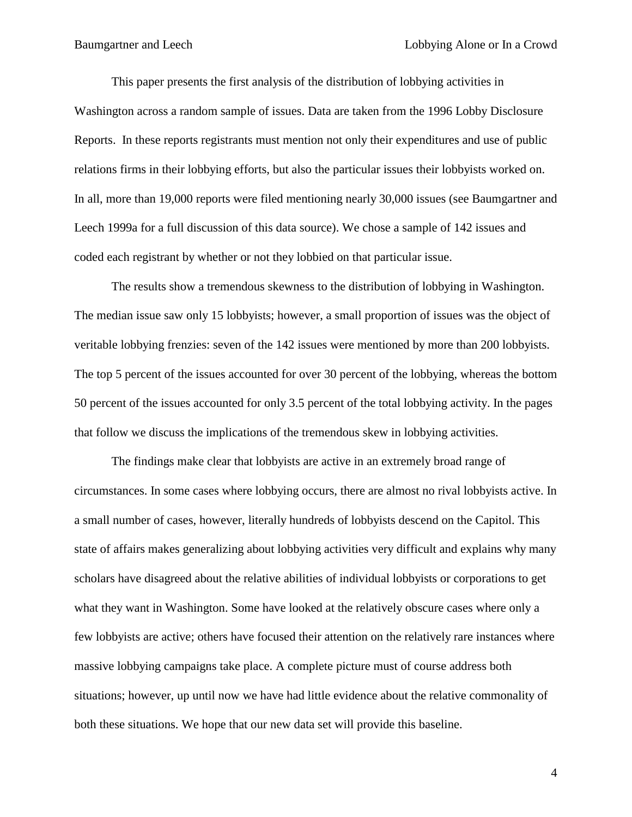This paper presents the first analysis of the distribution of lobbying activities in Washington across a random sample of issues. Data are taken from the 1996 Lobby Disclosure Reports. In these reports registrants must mention not only their expenditures and use of public relations firms in their lobbying efforts, but also the particular issues their lobbyists worked on. In all, more than 19,000 reports were filed mentioning nearly 30,000 issues (see Baumgartner and Leech 1999a for a full discussion of this data source). We chose a sample of 142 issues and coded each registrant by whether or not they lobbied on that particular issue.

The results show a tremendous skewness to the distribution of lobbying in Washington. The median issue saw only 15 lobbyists; however, a small proportion of issues was the object of veritable lobbying frenzies: seven of the 142 issues were mentioned by more than 200 lobbyists. The top 5 percent of the issues accounted for over 30 percent of the lobbying, whereas the bottom 50 percent of the issues accounted for only 3.5 percent of the total lobbying activity. In the pages that follow we discuss the implications of the tremendous skew in lobbying activities.

The findings make clear that lobbyists are active in an extremely broad range of circumstances. In some cases where lobbying occurs, there are almost no rival lobbyists active. In a small number of cases, however, literally hundreds of lobbyists descend on the Capitol. This state of affairs makes generalizing about lobbying activities very difficult and explains why many scholars have disagreed about the relative abilities of individual lobbyists or corporations to get what they want in Washington. Some have looked at the relatively obscure cases where only a few lobbyists are active; others have focused their attention on the relatively rare instances where massive lobbying campaigns take place. A complete picture must of course address both situations; however, up until now we have had little evidence about the relative commonality of both these situations. We hope that our new data set will provide this baseline.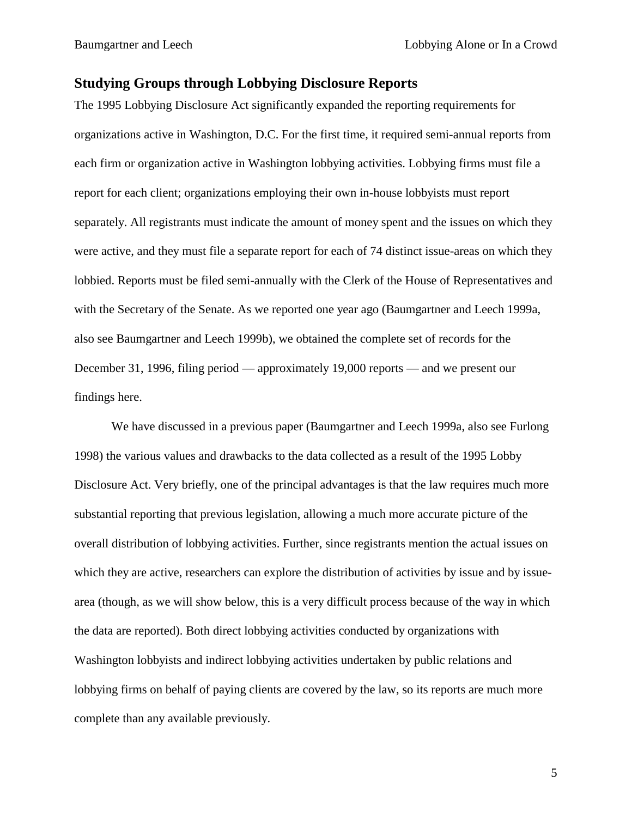#### **Studying Groups through Lobbying Disclosure Reports**

The 1995 Lobbying Disclosure Act significantly expanded the reporting requirements for organizations active in Washington, D.C. For the first time, it required semi-annual reports from each firm or organization active in Washington lobbying activities. Lobbying firms must file a report for each client; organizations employing their own in-house lobbyists must report separately. All registrants must indicate the amount of money spent and the issues on which they were active, and they must file a separate report for each of 74 distinct issue-areas on which they lobbied. Reports must be filed semi-annually with the Clerk of the House of Representatives and with the Secretary of the Senate. As we reported one year ago (Baumgartner and Leech 1999a, also see Baumgartner and Leech 1999b), we obtained the complete set of records for the December 31, 1996, filing period — approximately 19,000 reports — and we present our findings here.

We have discussed in a previous paper (Baumgartner and Leech 1999a, also see Furlong 1998) the various values and drawbacks to the data collected as a result of the 1995 Lobby Disclosure Act. Very briefly, one of the principal advantages is that the law requires much more substantial reporting that previous legislation, allowing a much more accurate picture of the overall distribution of lobbying activities. Further, since registrants mention the actual issues on which they are active, researchers can explore the distribution of activities by issue and by issuearea (though, as we will show below, this is a very difficult process because of the way in which the data are reported). Both direct lobbying activities conducted by organizations with Washington lobbyists and indirect lobbying activities undertaken by public relations and lobbying firms on behalf of paying clients are covered by the law, so its reports are much more complete than any available previously.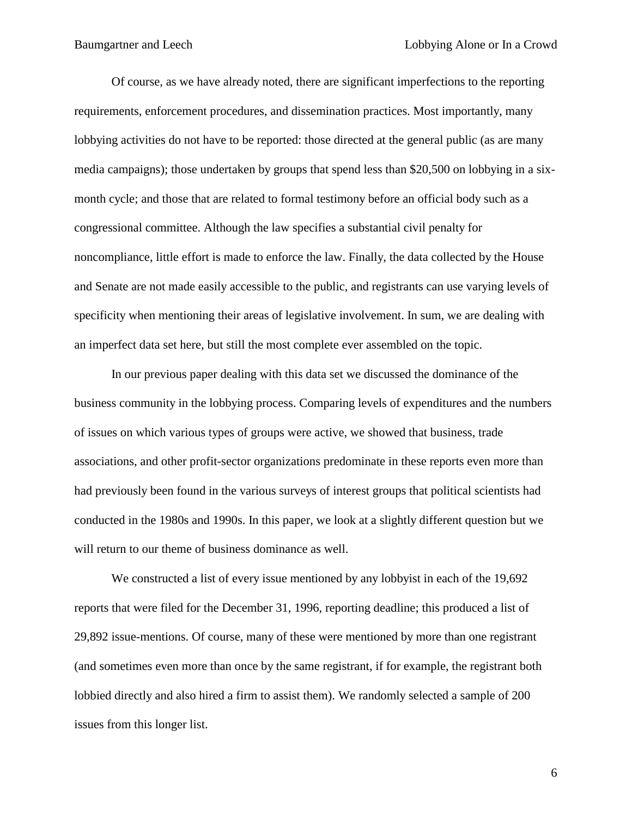Of course, as we have already noted, there are significant imperfections to the reporting requirements, enforcement procedures, and dissemination practices. Most importantly, many lobbying activities do not have to be reported: those directed at the general public (as are many media campaigns); those undertaken by groups that spend less than \$20,500 on lobbying in a sixmonth cycle; and those that are related to formal testimony before an official body such as a congressional committee. Although the law specifies a substantial civil penalty for noncompliance, little effort is made to enforce the law. Finally, the data collected by the House and Senate are not made easily accessible to the public, and registrants can use varying levels of specificity when mentioning their areas of legislative involvement. In sum, we are dealing with an imperfect data set here, but still the most complete ever assembled on the topic.

In our previous paper dealing with this data set we discussed the dominance of the business community in the lobbying process. Comparing levels of expenditures and the numbers of issues on which various types of groups were active, we showed that business, trade associations, and other profit-sector organizations predominate in these reports even more than had previously been found in the various surveys of interest groups that political scientists had conducted in the 1980s and 1990s. In this paper, we look at a slightly different question but we will return to our theme of business dominance as well.

We constructed a list of every issue mentioned by any lobbyist in each of the 19,692 reports that were filed for the December 31, 1996, reporting deadline; this produced a list of 29,892 issue-mentions. Of course, many of these were mentioned by more than one registrant (and sometimes even more than once by the same registrant, if for example, the registrant both lobbied directly and also hired a firm to assist them). We randomly selected a sample of 200 issues from this longer list.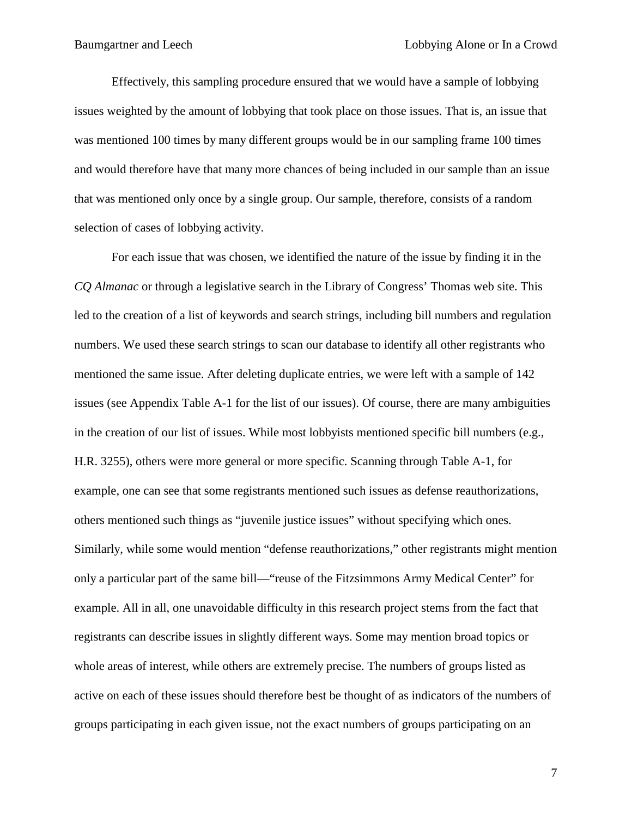Effectively, this sampling procedure ensured that we would have a sample of lobbying issues weighted by the amount of lobbying that took place on those issues. That is, an issue that was mentioned 100 times by many different groups would be in our sampling frame 100 times and would therefore have that many more chances of being included in our sample than an issue that was mentioned only once by a single group. Our sample, therefore, consists of a random selection of cases of lobbying activity.

For each issue that was chosen, we identified the nature of the issue by finding it in the *CQ Almanac* or through a legislative search in the Library of Congress' Thomas web site. This led to the creation of a list of keywords and search strings, including bill numbers and regulation numbers. We used these search strings to scan our database to identify all other registrants who mentioned the same issue. After deleting duplicate entries, we were left with a sample of 142 issues (see Appendix Table A-1 for the list of our issues). Of course, there are many ambiguities in the creation of our list of issues. While most lobbyists mentioned specific bill numbers (e.g., H.R. 3255), others were more general or more specific. Scanning through Table A-1, for example, one can see that some registrants mentioned such issues as defense reauthorizations, others mentioned such things as "juvenile justice issues" without specifying which ones. Similarly, while some would mention "defense reauthorizations," other registrants might mention only a particular part of the same bill—"reuse of the Fitzsimmons Army Medical Center" for example. All in all, one unavoidable difficulty in this research project stems from the fact that registrants can describe issues in slightly different ways. Some may mention broad topics or whole areas of interest, while others are extremely precise. The numbers of groups listed as active on each of these issues should therefore best be thought of as indicators of the numbers of groups participating in each given issue, not the exact numbers of groups participating on an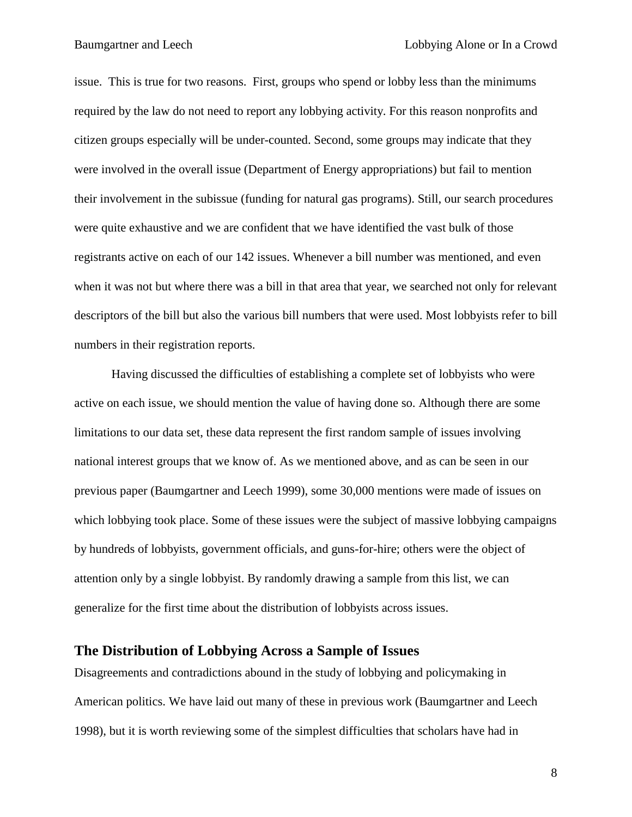issue. This is true for two reasons. First, groups who spend or lobby less than the minimums required by the law do not need to report any lobbying activity. For this reason nonprofits and citizen groups especially will be under-counted. Second, some groups may indicate that they were involved in the overall issue (Department of Energy appropriations) but fail to mention their involvement in the subissue (funding for natural gas programs). Still, our search procedures were quite exhaustive and we are confident that we have identified the vast bulk of those registrants active on each of our 142 issues. Whenever a bill number was mentioned, and even when it was not but where there was a bill in that area that year, we searched not only for relevant descriptors of the bill but also the various bill numbers that were used. Most lobbyists refer to bill numbers in their registration reports.

Having discussed the difficulties of establishing a complete set of lobbyists who were active on each issue, we should mention the value of having done so. Although there are some limitations to our data set, these data represent the first random sample of issues involving national interest groups that we know of. As we mentioned above, and as can be seen in our previous paper (Baumgartner and Leech 1999), some 30,000 mentions were made of issues on which lobbying took place. Some of these issues were the subject of massive lobbying campaigns by hundreds of lobbyists, government officials, and guns-for-hire; others were the object of attention only by a single lobbyist. By randomly drawing a sample from this list, we can generalize for the first time about the distribution of lobbyists across issues.

## **The Distribution of Lobbying Across a Sample of Issues**

Disagreements and contradictions abound in the study of lobbying and policymaking in American politics. We have laid out many of these in previous work (Baumgartner and Leech 1998), but it is worth reviewing some of the simplest difficulties that scholars have had in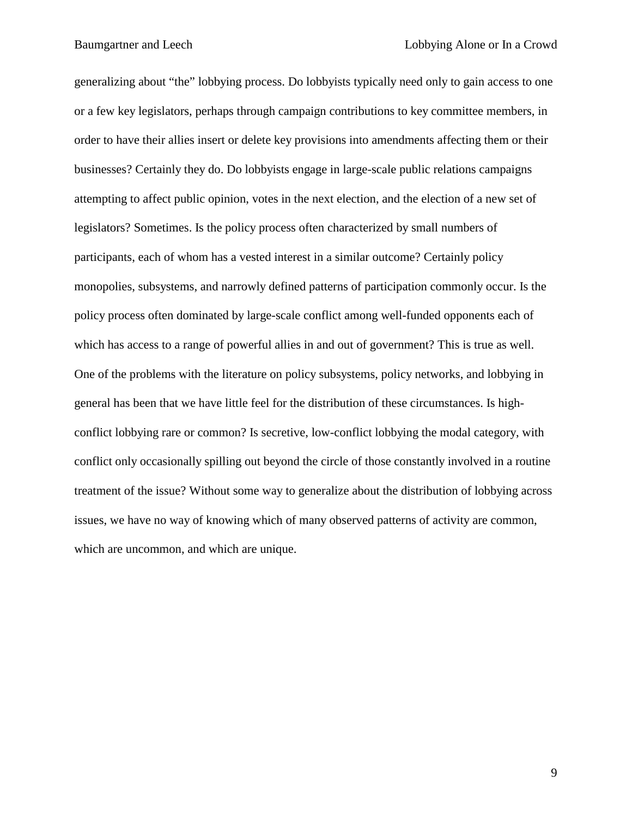generalizing about "the" lobbying process. Do lobbyists typically need only to gain access to one or a few key legislators, perhaps through campaign contributions to key committee members, in order to have their allies insert or delete key provisions into amendments affecting them or their businesses? Certainly they do. Do lobbyists engage in large-scale public relations campaigns attempting to affect public opinion, votes in the next election, and the election of a new set of legislators? Sometimes. Is the policy process often characterized by small numbers of participants, each of whom has a vested interest in a similar outcome? Certainly policy monopolies, subsystems, and narrowly defined patterns of participation commonly occur. Is the policy process often dominated by large-scale conflict among well-funded opponents each of which has access to a range of powerful allies in and out of government? This is true as well. One of the problems with the literature on policy subsystems, policy networks, and lobbying in general has been that we have little feel for the distribution of these circumstances. Is highconflict lobbying rare or common? Is secretive, low-conflict lobbying the modal category, with conflict only occasionally spilling out beyond the circle of those constantly involved in a routine treatment of the issue? Without some way to generalize about the distribution of lobbying across issues, we have no way of knowing which of many observed patterns of activity are common, which are uncommon, and which are unique.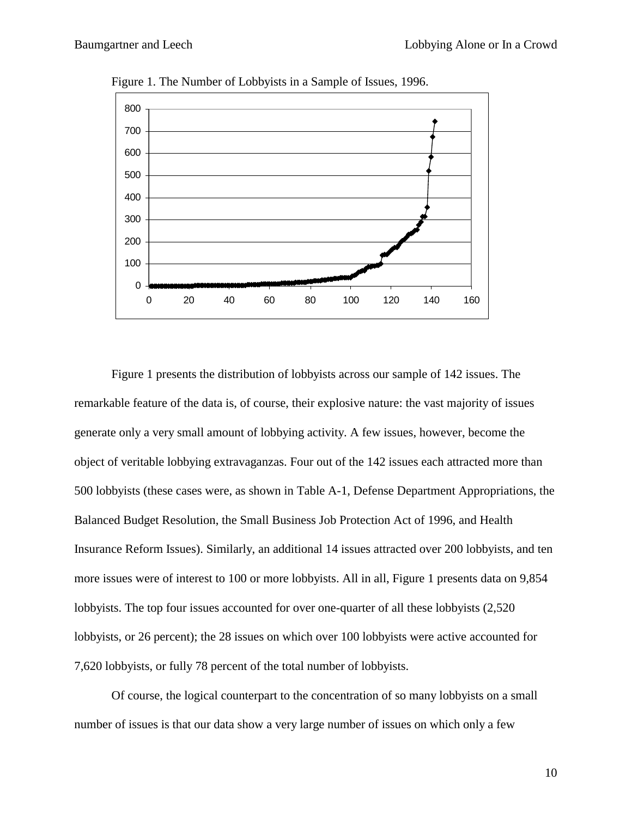

Figure 1. The Number of Lobbyists in a Sample of Issues, 1996.

Figure 1 presents the distribution of lobbyists across our sample of 142 issues. The remarkable feature of the data is, of course, their explosive nature: the vast majority of issues generate only a very small amount of lobbying activity. A few issues, however, become the object of veritable lobbying extravaganzas. Four out of the 142 issues each attracted more than 500 lobbyists (these cases were, as shown in Table A-1, Defense Department Appropriations, the Balanced Budget Resolution, the Small Business Job Protection Act of 1996, and Health Insurance Reform Issues). Similarly, an additional 14 issues attracted over 200 lobbyists, and ten more issues were of interest to 100 or more lobbyists. All in all, Figure 1 presents data on 9,854 lobbyists. The top four issues accounted for over one-quarter of all these lobbyists (2,520 lobbyists, or 26 percent); the 28 issues on which over 100 lobbyists were active accounted for 7,620 lobbyists, or fully 78 percent of the total number of lobbyists.

Of course, the logical counterpart to the concentration of so many lobbyists on a small number of issues is that our data show a very large number of issues on which only a few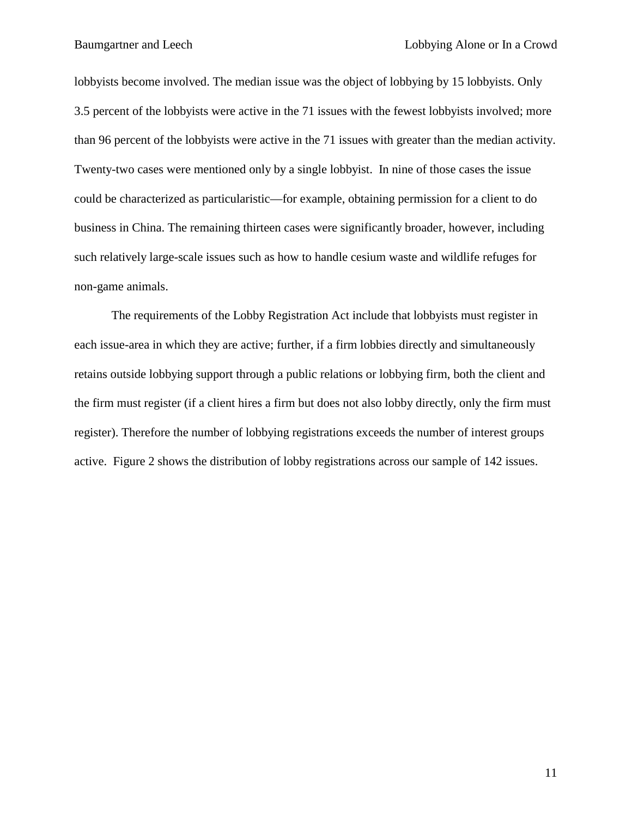lobbyists become involved. The median issue was the object of lobbying by 15 lobbyists. Only 3.5 percent of the lobbyists were active in the 71 issues with the fewest lobbyists involved; more than 96 percent of the lobbyists were active in the 71 issues with greater than the median activity. Twenty-two cases were mentioned only by a single lobbyist. In nine of those cases the issue could be characterized as particularistic—for example, obtaining permission for a client to do business in China. The remaining thirteen cases were significantly broader, however, including such relatively large-scale issues such as how to handle cesium waste and wildlife refuges for non-game animals.

The requirements of the Lobby Registration Act include that lobbyists must register in each issue-area in which they are active; further, if a firm lobbies directly and simultaneously retains outside lobbying support through a public relations or lobbying firm, both the client and the firm must register (if a client hires a firm but does not also lobby directly, only the firm must register). Therefore the number of lobbying registrations exceeds the number of interest groups active. Figure 2 shows the distribution of lobby registrations across our sample of 142 issues.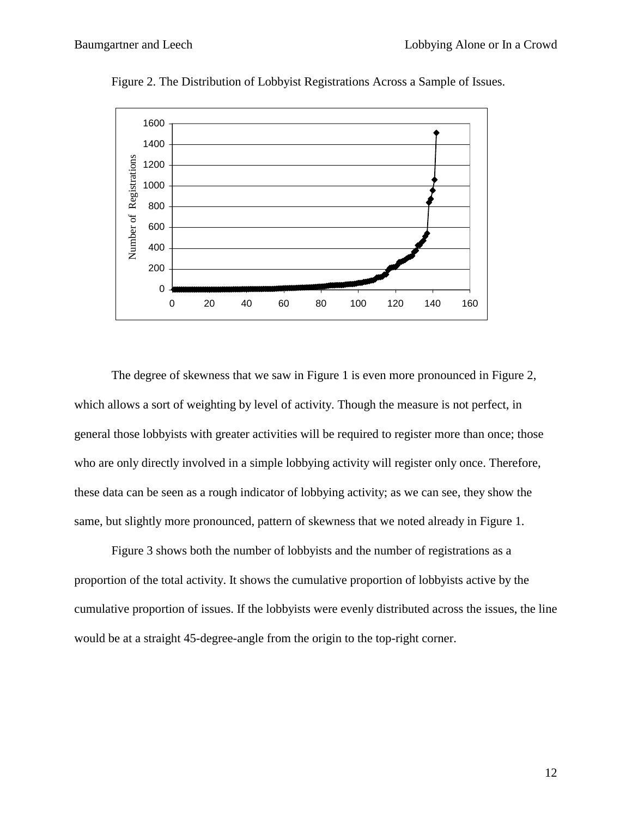

Figure 2. The Distribution of Lobbyist Registrations Across a Sample of Issues.

The degree of skewness that we saw in Figure 1 is even more pronounced in Figure 2, which allows a sort of weighting by level of activity. Though the measure is not perfect, in general those lobbyists with greater activities will be required to register more than once; those who are only directly involved in a simple lobbying activity will register only once. Therefore, these data can be seen as a rough indicator of lobbying activity; as we can see, they show the same, but slightly more pronounced, pattern of skewness that we noted already in Figure 1.

Figure 3 shows both the number of lobbyists and the number of registrations as a proportion of the total activity. It shows the cumulative proportion of lobbyists active by the cumulative proportion of issues. If the lobbyists were evenly distributed across the issues, the line would be at a straight 45-degree-angle from the origin to the top-right corner.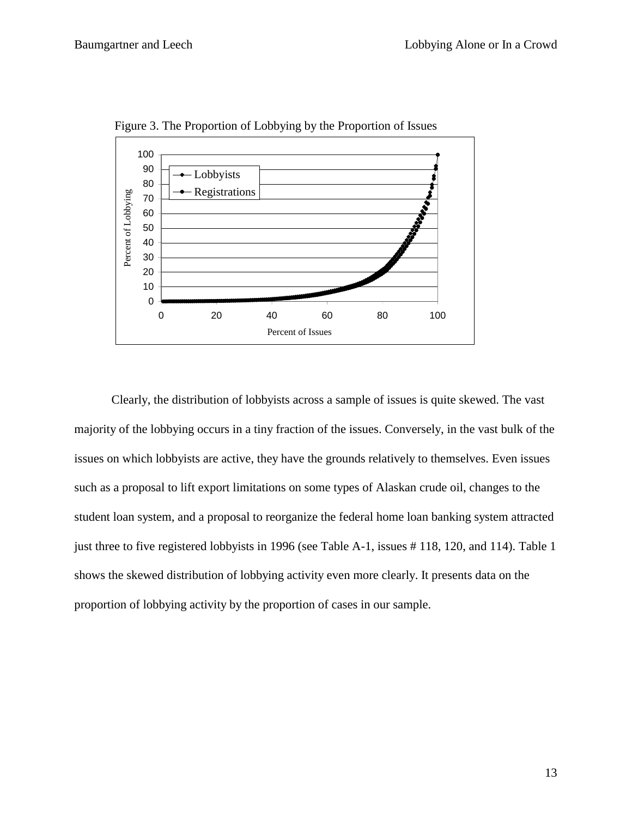

Figure 3. The Proportion of Lobbying by the Proportion of Issues

Clearly, the distribution of lobbyists across a sample of issues is quite skewed. The vast majority of the lobbying occurs in a tiny fraction of the issues. Conversely, in the vast bulk of the issues on which lobbyists are active, they have the grounds relatively to themselves. Even issues such as a proposal to lift export limitations on some types of Alaskan crude oil, changes to the student loan system, and a proposal to reorganize the federal home loan banking system attracted just three to five registered lobbyists in 1996 (see Table A-1, issues # 118, 120, and 114). Table 1 shows the skewed distribution of lobbying activity even more clearly. It presents data on the proportion of lobbying activity by the proportion of cases in our sample.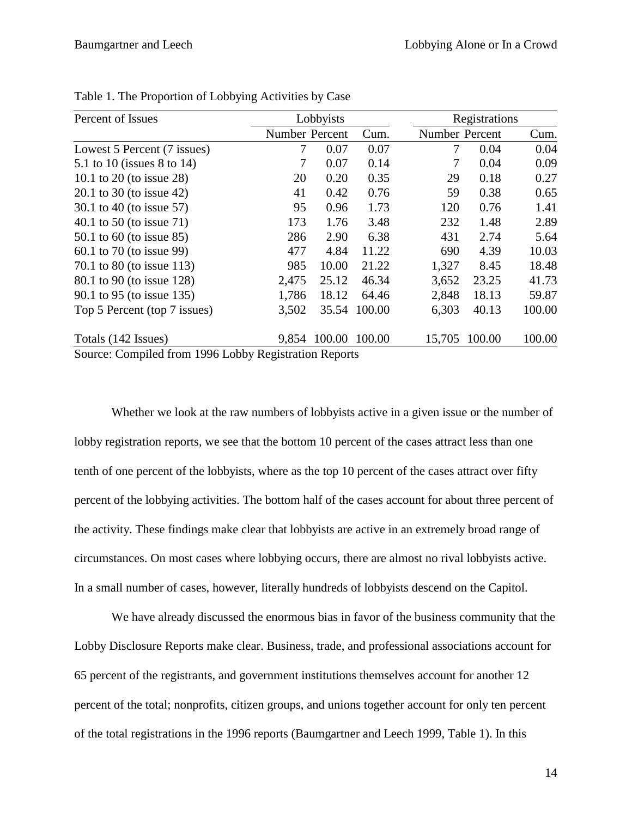| Percent of Issues                                     | Lobbyists<br>Registrations |        |        |                |        |        |
|-------------------------------------------------------|----------------------------|--------|--------|----------------|--------|--------|
|                                                       | Number Percent             |        | Cum.   | Number Percent |        | Cum.   |
| Lowest 5 Percent (7 issues)                           | 7                          | 0.07   | 0.07   | 7              | 0.04   | 0.04   |
| 5.1 to 10 (issues 8 to 14)                            | 7                          | 0.07   | 0.14   | 7              | 0.04   | 0.09   |
| 10.1 to 20 (to issue 28)                              | 20                         | 0.20   | 0.35   | 29             | 0.18   | 0.27   |
| 20.1 to 30 (to issue 42)                              | 41                         | 0.42   | 0.76   | 59             | 0.38   | 0.65   |
| 30.1 to 40 (to issue 57)                              | 95                         | 0.96   | 1.73   | 120            | 0.76   | 1.41   |
| 40.1 to 50 (to issue 71)                              | 173                        | 1.76   | 3.48   | 232            | 1.48   | 2.89   |
| 50.1 to 60 (to issue 85)                              | 286                        | 2.90   | 6.38   | 431            | 2.74   | 5.64   |
| 60.1 to 70 (to issue 99)                              | 477                        | 4.84   | 11.22  | 690            | 4.39   | 10.03  |
| 70.1 to 80 (to issue 113)                             | 985                        | 10.00  | 21.22  | 1,327          | 8.45   | 18.48  |
| 80.1 to 90 (to issue 128)                             | 2,475                      | 25.12  | 46.34  | 3,652          | 23.25  | 41.73  |
| 90.1 to 95 (to issue 135)                             | 1,786                      | 18.12  | 64.46  | 2,848          | 18.13  | 59.87  |
| Top 5 Percent (top 7 issues)                          | 3,502                      | 35.54  | 100.00 | 6,303          | 40.13  | 100.00 |
| Totals (142 Issues)                                   | 9,854                      | 100.00 | 100.00 | 15,705         | 100.00 | 100.00 |
| Source: Compiled from 1996 Lobby Registration Reports |                            |        |        |                |        |        |

Source: Compiled from 1996 Lobby Registration Reports

Whether we look at the raw numbers of lobbyists active in a given issue or the number of lobby registration reports, we see that the bottom 10 percent of the cases attract less than one tenth of one percent of the lobbyists, where as the top 10 percent of the cases attract over fifty percent of the lobbying activities. The bottom half of the cases account for about three percent of the activity. These findings make clear that lobbyists are active in an extremely broad range of circumstances. On most cases where lobbying occurs, there are almost no rival lobbyists active. In a small number of cases, however, literally hundreds of lobbyists descend on the Capitol.

We have already discussed the enormous bias in favor of the business community that the Lobby Disclosure Reports make clear. Business, trade, and professional associations account for 65 percent of the registrants, and government institutions themselves account for another 12 percent of the total; nonprofits, citizen groups, and unions together account for only ten percent of the total registrations in the 1996 reports (Baumgartner and Leech 1999, Table 1). In this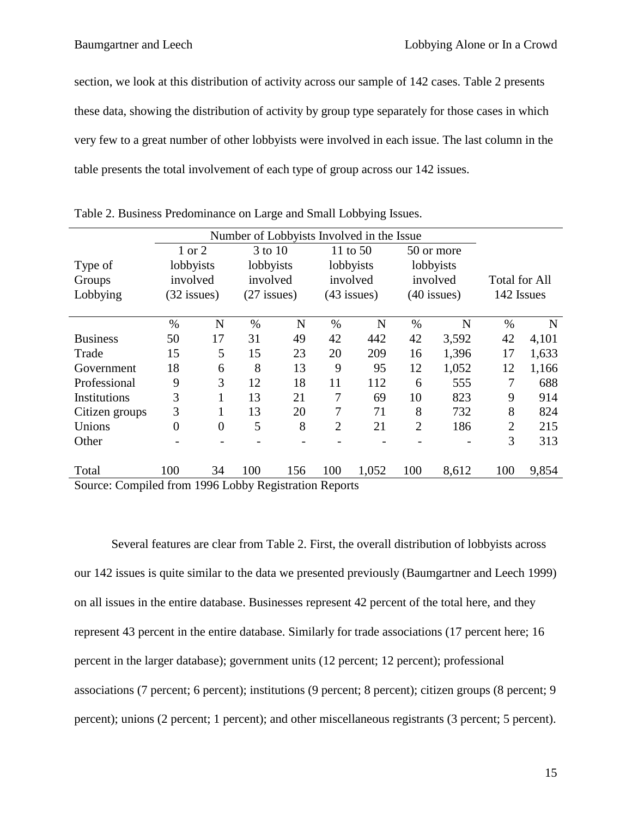section, we look at this distribution of activity across our sample of 142 cases. Table 2 presents these data, showing the distribution of activity by group type separately for those cases in which very few to a great number of other lobbyists were involved in each issue. The last column in the table presents the total involvement of each type of group across our 142 issues.

| Number of Lobbyists Involved in the Issue  |                             |                                         |                             |                           |                             |                              |                             |                                     |                                                                                |  |
|--------------------------------------------|-----------------------------|-----------------------------------------|-----------------------------|---------------------------|-----------------------------|------------------------------|-----------------------------|-------------------------------------|--------------------------------------------------------------------------------|--|
| 1 or 2<br>3 to 10<br>11 to 50              |                             | 50 or more                              |                             |                           |                             |                              |                             |                                     |                                                                                |  |
| lobbyists<br>Type of<br>involved<br>Groups |                             | lobbyists<br>involved                   |                             | lobbyists<br>involved     |                             | lobbyists<br>involved        |                             |                                     |                                                                                |  |
|                                            |                             |                                         |                             |                           |                             |                              |                             | <b>Total for All</b>                |                                                                                |  |
|                                            |                             | $(27$ issues)                           |                             | $(43$ issues)             |                             | $(40$ issues)                |                             | 142 Issues                          |                                                                                |  |
|                                            |                             |                                         |                             |                           |                             |                              |                             |                                     | N                                                                              |  |
|                                            |                             |                                         |                             |                           |                             |                              |                             |                                     | 4,101                                                                          |  |
|                                            |                             |                                         |                             |                           |                             |                              |                             |                                     | 1,633                                                                          |  |
|                                            |                             |                                         |                             |                           |                             |                              |                             |                                     | 1,166                                                                          |  |
|                                            |                             |                                         |                             |                           |                             |                              |                             |                                     | 688                                                                            |  |
| 3                                          |                             | 13                                      | 21                          | 7                         | 69                          | 10                           | 823                         | 9                                   | 914                                                                            |  |
| 3                                          |                             | 13                                      | 20                          | 7                         | 71                          | 8                            | 732                         | 8                                   | 824                                                                            |  |
| $\theta$                                   | $\overline{0}$              | 5                                       | 8                           | $\overline{2}$            | 21                          | $\overline{2}$               | 186                         | $\overline{2}$                      | 215                                                                            |  |
|                                            |                             |                                         |                             |                           |                             |                              |                             | 3                                   | 313                                                                            |  |
|                                            |                             |                                         |                             |                           |                             |                              |                             |                                     |                                                                                |  |
| 100                                        | 34                          | 100                                     | 156                         | 100                       | 1,052                       | 100                          | 8,612                       | 100                                 | 9,854                                                                          |  |
|                                            | $\%$<br>50<br>15<br>18<br>9 | $(32$ issues)<br>N<br>17<br>5<br>6<br>3 | $\%$<br>31<br>15<br>8<br>12 | N<br>49<br>23<br>13<br>18 | $\%$<br>42<br>20<br>9<br>11 | N<br>442<br>209<br>95<br>112 | $\%$<br>42<br>16<br>12<br>6 | N<br>3,592<br>1,396<br>1,052<br>555 | $\%$<br>42<br>17<br>12<br>Course Compiled from 1006 Labor Decision Departments |  |

|  | Table 2. Business Predominance on Large and Small Lobbying Issues. |  |  |
|--|--------------------------------------------------------------------|--|--|
|  |                                                                    |  |  |

Source: Compiled from 1996 Lobby Registration Reports

Several features are clear from Table 2. First, the overall distribution of lobbyists across our 142 issues is quite similar to the data we presented previously (Baumgartner and Leech 1999) on all issues in the entire database. Businesses represent 42 percent of the total here, and they represent 43 percent in the entire database. Similarly for trade associations (17 percent here; 16 percent in the larger database); government units (12 percent; 12 percent); professional associations (7 percent; 6 percent); institutions (9 percent; 8 percent); citizen groups (8 percent; 9 percent); unions (2 percent; 1 percent); and other miscellaneous registrants (3 percent; 5 percent).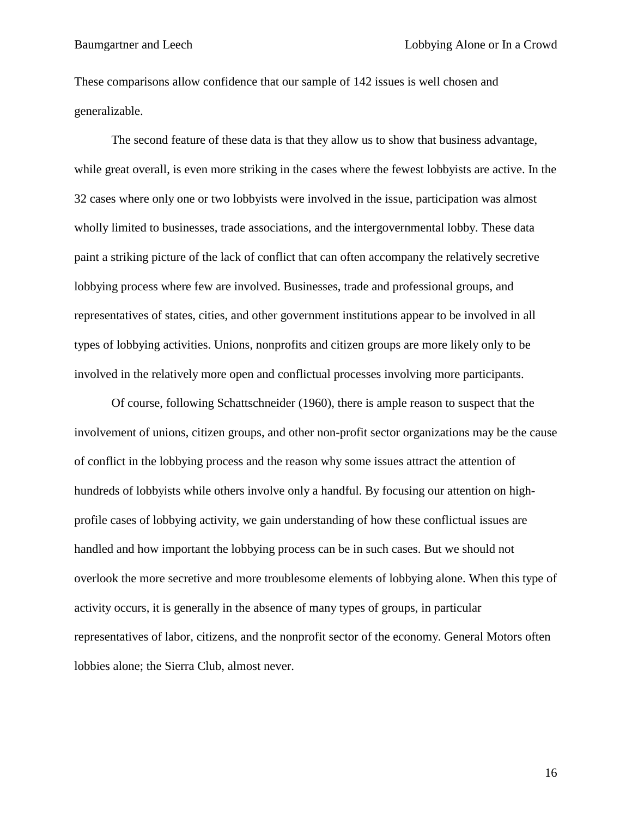These comparisons allow confidence that our sample of 142 issues is well chosen and generalizable.

The second feature of these data is that they allow us to show that business advantage, while great overall, is even more striking in the cases where the fewest lobbyists are active. In the 32 cases where only one or two lobbyists were involved in the issue, participation was almost wholly limited to businesses, trade associations, and the intergovernmental lobby. These data paint a striking picture of the lack of conflict that can often accompany the relatively secretive lobbying process where few are involved. Businesses, trade and professional groups, and representatives of states, cities, and other government institutions appear to be involved in all types of lobbying activities. Unions, nonprofits and citizen groups are more likely only to be involved in the relatively more open and conflictual processes involving more participants.

Of course, following Schattschneider (1960), there is ample reason to suspect that the involvement of unions, citizen groups, and other non-profit sector organizations may be the cause of conflict in the lobbying process and the reason why some issues attract the attention of hundreds of lobbyists while others involve only a handful. By focusing our attention on highprofile cases of lobbying activity, we gain understanding of how these conflictual issues are handled and how important the lobbying process can be in such cases. But we should not overlook the more secretive and more troublesome elements of lobbying alone. When this type of activity occurs, it is generally in the absence of many types of groups, in particular representatives of labor, citizens, and the nonprofit sector of the economy. General Motors often lobbies alone; the Sierra Club, almost never.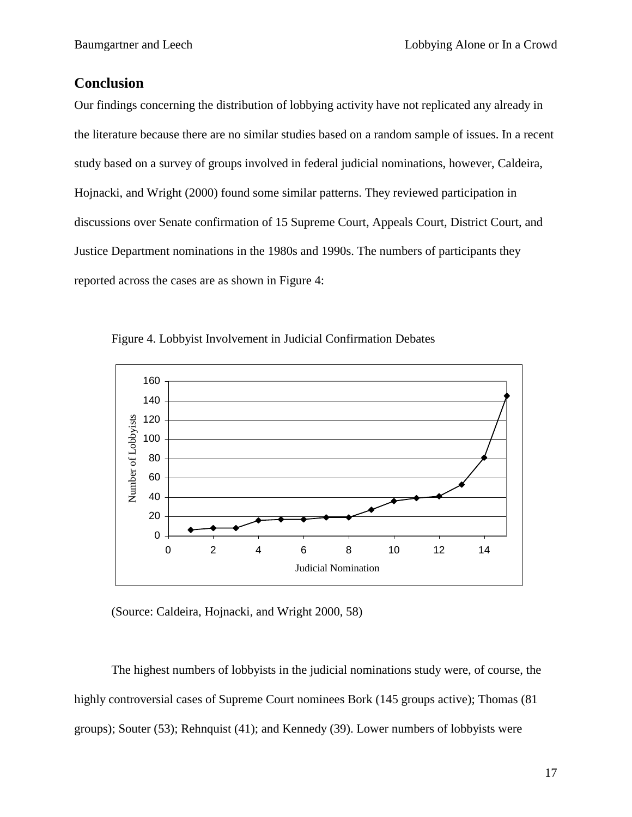## **Conclusion**

Our findings concerning the distribution of lobbying activity have not replicated any already in the literature because there are no similar studies based on a random sample of issues. In a recent study based on a survey of groups involved in federal judicial nominations, however, Caldeira, Hojnacki, and Wright (2000) found some similar patterns. They reviewed participation in discussions over Senate confirmation of 15 Supreme Court, Appeals Court, District Court, and Justice Department nominations in the 1980s and 1990s. The numbers of participants they reported across the cases are as shown in Figure 4:



Figure 4. Lobbyist Involvement in Judicial Confirmation Debates

(Source: Caldeira, Hojnacki, and Wright 2000, 58)

The highest numbers of lobbyists in the judicial nominations study were, of course, the highly controversial cases of Supreme Court nominees Bork (145 groups active); Thomas (81 groups); Souter (53); Rehnquist (41); and Kennedy (39). Lower numbers of lobbyists were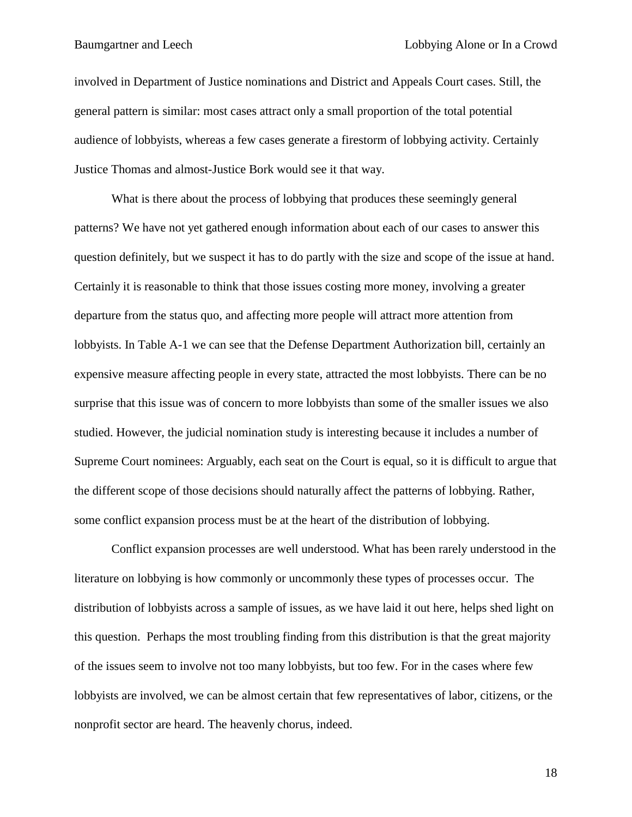involved in Department of Justice nominations and District and Appeals Court cases. Still, the general pattern is similar: most cases attract only a small proportion of the total potential audience of lobbyists, whereas a few cases generate a firestorm of lobbying activity. Certainly Justice Thomas and almost-Justice Bork would see it that way.

What is there about the process of lobbying that produces these seemingly general patterns? We have not yet gathered enough information about each of our cases to answer this question definitely, but we suspect it has to do partly with the size and scope of the issue at hand. Certainly it is reasonable to think that those issues costing more money, involving a greater departure from the status quo, and affecting more people will attract more attention from lobbyists. In Table A-1 we can see that the Defense Department Authorization bill, certainly an expensive measure affecting people in every state, attracted the most lobbyists. There can be no surprise that this issue was of concern to more lobbyists than some of the smaller issues we also studied. However, the judicial nomination study is interesting because it includes a number of Supreme Court nominees: Arguably, each seat on the Court is equal, so it is difficult to argue that the different scope of those decisions should naturally affect the patterns of lobbying. Rather, some conflict expansion process must be at the heart of the distribution of lobbying.

Conflict expansion processes are well understood. What has been rarely understood in the literature on lobbying is how commonly or uncommonly these types of processes occur. The distribution of lobbyists across a sample of issues, as we have laid it out here, helps shed light on this question. Perhaps the most troubling finding from this distribution is that the great majority of the issues seem to involve not too many lobbyists, but too few. For in the cases where few lobbyists are involved, we can be almost certain that few representatives of labor, citizens, or the nonprofit sector are heard. The heavenly chorus, indeed.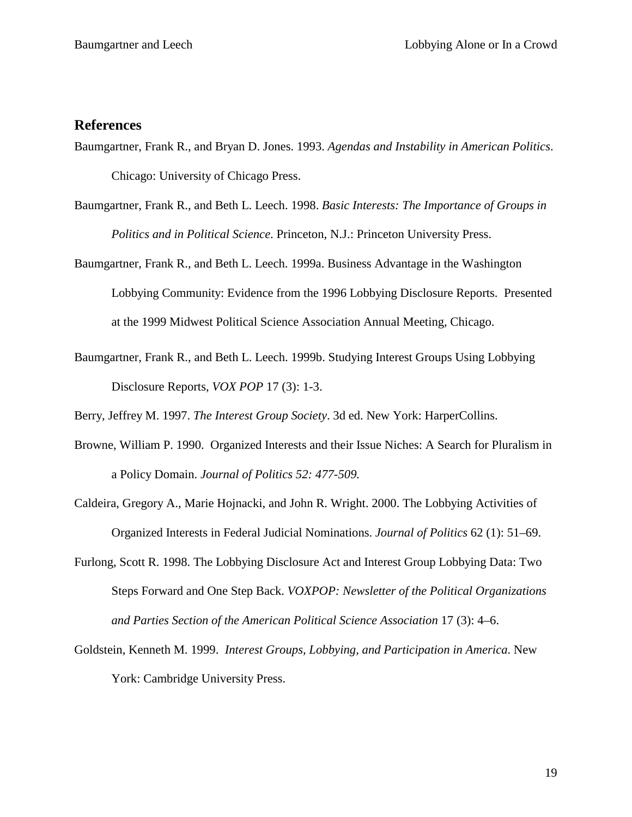#### **References**

- Baumgartner, Frank R., and Bryan D. Jones. 1993. *Agendas and Instability in American Politics*. Chicago: University of Chicago Press.
- Baumgartner, Frank R., and Beth L. Leech. 1998. *Basic Interests: The Importance of Groups in Politics and in Political Science*. Princeton, N.J.: Princeton University Press.
- Baumgartner, Frank R., and Beth L. Leech. 1999a. Business Advantage in the Washington Lobbying Community: Evidence from the 1996 Lobbying Disclosure Reports. Presented at the 1999 Midwest Political Science Association Annual Meeting, Chicago.
- Baumgartner, Frank R., and Beth L. Leech. 1999b. Studying Interest Groups Using Lobbying Disclosure Reports, *VOX POP* 17 (3): 1-3.

Berry, Jeffrey M. 1997. *The Interest Group Society*. 3d ed. New York: HarperCollins.

- Browne, William P. 1990. Organized Interests and their Issue Niches: A Search for Pluralism in a Policy Domain. *Journal of Politics 52: 477-509.*
- Caldeira, Gregory A., Marie Hojnacki, and John R. Wright. 2000. The Lobbying Activities of Organized Interests in Federal Judicial Nominations. *Journal of Politics* 62 (1): 51–69.
- Furlong, Scott R. 1998. The Lobbying Disclosure Act and Interest Group Lobbying Data: Two Steps Forward and One Step Back. *VOXPOP: Newsletter of the Political Organizations and Parties Section of the American Political Science Association* 17 (3): 4–6.
- Goldstein, Kenneth M. 1999. *Interest Groups, Lobbying, and Participation in America*. New York: Cambridge University Press.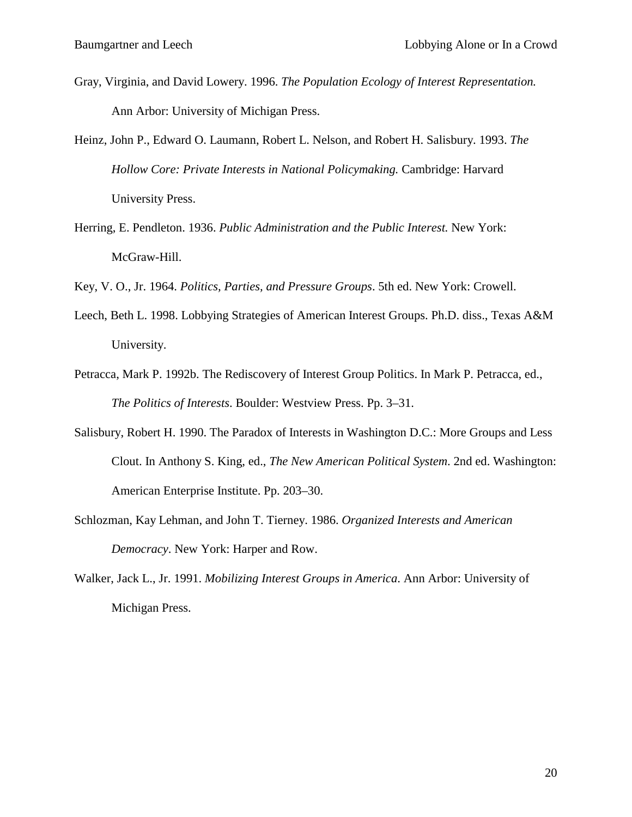- Gray, Virginia, and David Lowery. 1996. *The Population Ecology of Interest Representation.* Ann Arbor: University of Michigan Press.
- Heinz, John P., Edward O. Laumann, Robert L. Nelson, and Robert H. Salisbury. 1993. *The Hollow Core: Private Interests in National Policymaking.* Cambridge: Harvard University Press.
- Herring, E. Pendleton. 1936. *Public Administration and the Public Interest.* New York: McGraw-Hill.
- Key, V. O., Jr. 1964. *Politics, Parties, and Pressure Groups*. 5th ed. New York: Crowell.
- Leech, Beth L. 1998. Lobbying Strategies of American Interest Groups. Ph.D. diss., Texas A&M University.
- Petracca, Mark P. 1992b. The Rediscovery of Interest Group Politics. In Mark P. Petracca, ed., *The Politics of Interests*. Boulder: Westview Press. Pp. 3–31.
- Salisbury, Robert H. 1990. The Paradox of Interests in Washington D.C.: More Groups and Less Clout. In Anthony S. King, ed., *The New American Political System*. 2nd ed. Washington: American Enterprise Institute. Pp. 203–30.
- Schlozman, Kay Lehman, and John T. Tierney. 1986. *Organized Interests and American Democracy*. New York: Harper and Row.
- Walker, Jack L., Jr. 1991. *Mobilizing Interest Groups in America*. Ann Arbor: University of Michigan Press.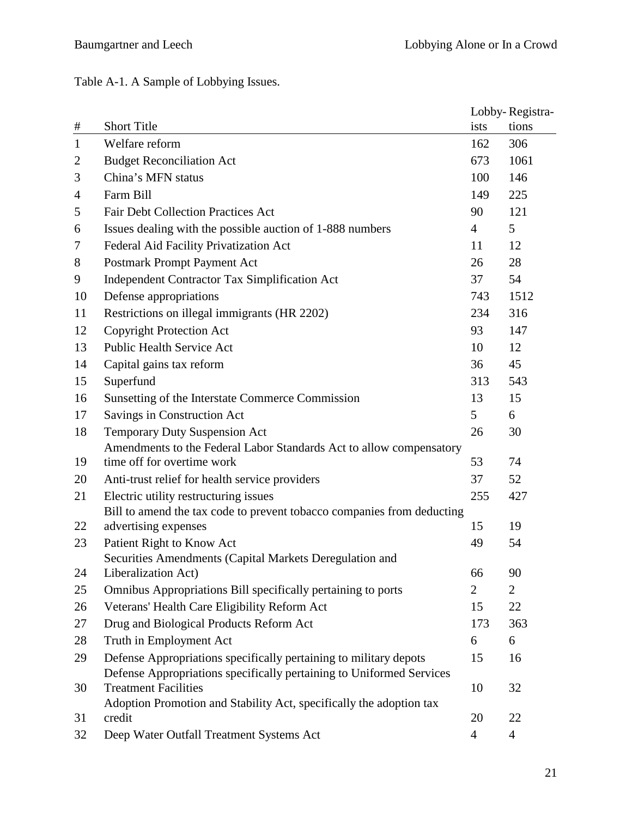Table A-1. A Sample of Lobbying Issues.

|                |                                                                                |                | Lobby-Registra- |  |
|----------------|--------------------------------------------------------------------------------|----------------|-----------------|--|
| #              | <b>Short Title</b>                                                             | ists           | tions           |  |
| $\mathbf{1}$   | Welfare reform                                                                 | 162            | 306             |  |
| 2              | <b>Budget Reconciliation Act</b>                                               | 673            | 1061            |  |
| 3              | China's MFN status                                                             | 100            | 146             |  |
| $\overline{4}$ | Farm Bill                                                                      | 149            | 225             |  |
| 5              | <b>Fair Debt Collection Practices Act</b>                                      | 90             | 121             |  |
| 6              | Issues dealing with the possible auction of 1-888 numbers                      | $\overline{4}$ | 5               |  |
| 7              | Federal Aid Facility Privatization Act                                         | 11             | 12              |  |
| 8              | Postmark Prompt Payment Act                                                    | 26             | 28              |  |
| 9              | <b>Independent Contractor Tax Simplification Act</b>                           | 37             | 54              |  |
| 10             | Defense appropriations                                                         | 743            | 1512            |  |
| 11             | Restrictions on illegal immigrants (HR 2202)                                   | 234            | 316             |  |
| 12             | <b>Copyright Protection Act</b>                                                | 93             | 147             |  |
| 13             | Public Health Service Act                                                      | 10             | 12              |  |
| 14             | Capital gains tax reform                                                       | 36             | 45              |  |
| 15             | Superfund                                                                      | 313            | 543             |  |
| 16             | Sunsetting of the Interstate Commerce Commission                               | 13             | 15              |  |
| 17             | Savings in Construction Act                                                    | 5              | 6               |  |
| 18             | Temporary Duty Suspension Act                                                  | 26             | 30              |  |
|                | Amendments to the Federal Labor Standards Act to allow compensatory            |                |                 |  |
| 19             | time off for overtime work                                                     | 53             | 74              |  |
| 20             | Anti-trust relief for health service providers                                 | 37             | 52              |  |
| 21             | Electric utility restructuring issues                                          | 255            | 427             |  |
|                | Bill to amend the tax code to prevent tobacco companies from deducting         |                |                 |  |
| 22             | advertising expenses                                                           | 15             | 19              |  |
| 23             | Patient Right to Know Act                                                      | 49             | 54              |  |
| 24             | Securities Amendments (Capital Markets Deregulation and<br>Liberalization Act) | 66             | 90              |  |
| 25             | Omnibus Appropriations Bill specifically pertaining to ports                   | 2              | $\overline{2}$  |  |
| 26             | Veterans' Health Care Eligibility Reform Act                                   | 15             | 22              |  |
| 27             | Drug and Biological Products Reform Act                                        | 173            | 363             |  |
| 28             | Truth in Employment Act                                                        | 6              | 6               |  |
| 29             | Defense Appropriations specifically pertaining to military depots              | 15             | 16              |  |
|                | Defense Appropriations specifically pertaining to Uniformed Services           |                |                 |  |
| 30             | <b>Treatment Facilities</b>                                                    | 10             | 32              |  |
|                | Adoption Promotion and Stability Act, specifically the adoption tax            |                |                 |  |
| 31             | credit                                                                         | 20             | 22              |  |
| 32             | Deep Water Outfall Treatment Systems Act                                       | 4              | $\overline{4}$  |  |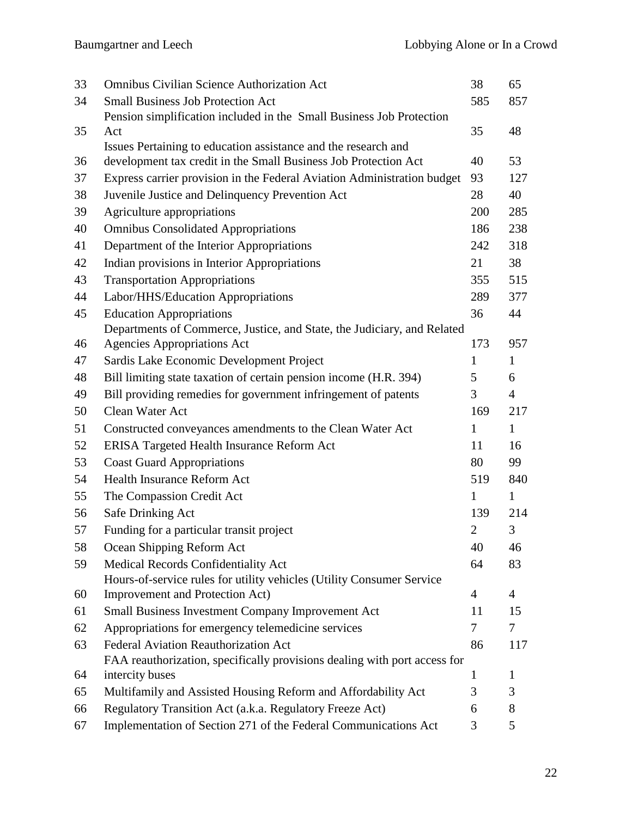| 33 | <b>Omnibus Civilian Science Authorization Act</b>                         | 38             | 65             |
|----|---------------------------------------------------------------------------|----------------|----------------|
| 34 | <b>Small Business Job Protection Act</b>                                  | 585            | 857            |
|    | Pension simplification included in the Small Business Job Protection      |                |                |
| 35 | Act                                                                       | 35             | 48             |
|    | Issues Pertaining to education assistance and the research and            |                |                |
| 36 | development tax credit in the Small Business Job Protection Act           | 40             | 53             |
| 37 | Express carrier provision in the Federal Aviation Administration budget   | 93             | 127            |
| 38 | Juvenile Justice and Delinquency Prevention Act                           | 28             | 40             |
| 39 | Agriculture appropriations                                                | 200            | 285            |
| 40 | <b>Omnibus Consolidated Appropriations</b>                                | 186            | 238            |
| 41 | Department of the Interior Appropriations                                 | 242            | 318            |
| 42 | Indian provisions in Interior Appropriations                              | 21             | 38             |
| 43 | <b>Transportation Appropriations</b>                                      | 355            | 515            |
| 44 | Labor/HHS/Education Appropriations                                        | 289            | 377            |
| 45 | <b>Education Appropriations</b>                                           | 36             | 44             |
|    | Departments of Commerce, Justice, and State, the Judiciary, and Related   |                |                |
| 46 | <b>Agencies Appropriations Act</b>                                        | 173            | 957            |
| 47 | Sardis Lake Economic Development Project                                  | $\mathbf{1}$   | $\mathbf{1}$   |
| 48 | Bill limiting state taxation of certain pension income (H.R. 394)         | 5              | 6              |
| 49 | Bill providing remedies for government infringement of patents            | 3              | $\overline{4}$ |
| 50 | Clean Water Act                                                           | 169            | 217            |
| 51 | Constructed conveyances amendments to the Clean Water Act                 | $\mathbf{1}$   | $\mathbf{1}$   |
| 52 | ERISA Targeted Health Insurance Reform Act                                | 11             | 16             |
| 53 | <b>Coast Guard Appropriations</b>                                         | 80             | 99             |
| 54 | <b>Health Insurance Reform Act</b>                                        | 519            | 840            |
| 55 | The Compassion Credit Act                                                 | $\mathbf{1}$   | $\mathbf{1}$   |
| 56 | Safe Drinking Act                                                         | 139            | 214            |
| 57 | Funding for a particular transit project                                  | $\overline{2}$ | 3              |
| 58 | Ocean Shipping Reform Act                                                 | 40             | 46             |
| 59 | Medical Records Confidentiality Act                                       | 64             | 83             |
|    | Hours-of-service rules for utility vehicles (Utility Consumer Service     |                |                |
| 60 | Improvement and Protection Act)                                           | $\overline{4}$ | $\overline{4}$ |
| 61 | <b>Small Business Investment Company Improvement Act</b>                  | 11             | 15             |
| 62 | Appropriations for emergency telemedicine services                        | 7              | 7              |
| 63 | <b>Federal Aviation Reauthorization Act</b>                               | 86             | 117            |
|    | FAA reauthorization, specifically provisions dealing with port access for |                |                |
| 64 | intercity buses                                                           | 1              | $\mathbf{1}$   |
| 65 | Multifamily and Assisted Housing Reform and Affordability Act             | 3              | 3              |
| 66 | Regulatory Transition Act (a.k.a. Regulatory Freeze Act)                  | 6              | 8              |
| 67 | Implementation of Section 271 of the Federal Communications Act           | 3              | 5              |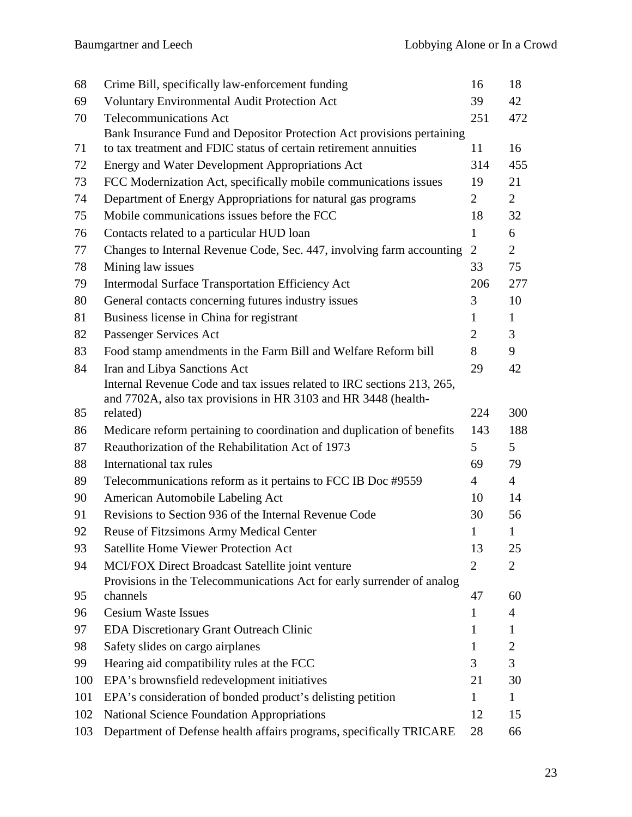| 68  | Crime Bill, specifically law-enforcement funding                                                                                         | 16              | 18              |
|-----|------------------------------------------------------------------------------------------------------------------------------------------|-----------------|-----------------|
| 69  | <b>Voluntary Environmental Audit Protection Act</b>                                                                                      | 39              | 42              |
| 70  | <b>Telecommunications Act</b>                                                                                                            | 251             | 472             |
|     | Bank Insurance Fund and Depositor Protection Act provisions pertaining                                                                   |                 |                 |
| 71  | to tax treatment and FDIC status of certain retirement annuities                                                                         | 11              | 16              |
| 72  | <b>Energy and Water Development Appropriations Act</b>                                                                                   | 314             | 455             |
| 73  | FCC Modernization Act, specifically mobile communications issues                                                                         | 19              | 21              |
| 74  | Department of Energy Appropriations for natural gas programs                                                                             | 2               | $\overline{2}$  |
| 75  | Mobile communications issues before the FCC                                                                                              | 18              | 32              |
| 76  | Contacts related to a particular HUD loan                                                                                                | $\mathbf{1}$    | 6               |
| 77  | Changes to Internal Revenue Code, Sec. 447, involving farm accounting                                                                    | $\overline{2}$  | $\overline{2}$  |
| 78  | Mining law issues                                                                                                                        | 33              | 75              |
| 79  | <b>Intermodal Surface Transportation Efficiency Act</b>                                                                                  | 206             | 277             |
| 80  | General contacts concerning futures industry issues                                                                                      | 3               | 10              |
| 81  | Business license in China for registrant                                                                                                 | $\mathbf{1}$    | $\mathbf{1}$    |
| 82  | Passenger Services Act                                                                                                                   | $\overline{2}$  | $\overline{3}$  |
| 83  | Food stamp amendments in the Farm Bill and Welfare Reform bill                                                                           | 8               | 9               |
| 84  | Iran and Libya Sanctions Act                                                                                                             | 29              | 42              |
|     | Internal Revenue Code and tax issues related to IRC sections 213, 265,<br>and 7702A, also tax provisions in HR 3103 and HR 3448 (health- |                 |                 |
| 85  | related)                                                                                                                                 | 224             | 300             |
| 86  | Medicare reform pertaining to coordination and duplication of benefits                                                                   | 143             | 188             |
| 87  | Reauthorization of the Rehabilitation Act of 1973                                                                                        | $5\overline{)}$ | $5\overline{)}$ |
| 88  | International tax rules                                                                                                                  | 69              | 79              |
| 89  | Telecommunications reform as it pertains to FCC IB Doc #9559                                                                             | $\overline{4}$  | $\overline{4}$  |
| 90  | American Automobile Labeling Act                                                                                                         | 10              | 14              |
| 91  | Revisions to Section 936 of the Internal Revenue Code                                                                                    | 30              | 56              |
| 92  | <b>Reuse of Fitzsimons Army Medical Center</b>                                                                                           | 1               | $\mathbf{1}$    |
| 93  | <b>Satellite Home Viewer Protection Act</b>                                                                                              | 13              | 25              |
| 94  | MCI/FOX Direct Broadcast Satellite joint venture                                                                                         | $\overline{2}$  | 2               |
|     | Provisions in the Telecommunications Act for early surrender of analog                                                                   |                 |                 |
| 95  | channels                                                                                                                                 | 47              | 60              |
| 96  | <b>Cesium Waste Issues</b>                                                                                                               | 1               | $\overline{4}$  |
| 97  | <b>EDA Discretionary Grant Outreach Clinic</b>                                                                                           | 1               | $\mathbf{1}$    |
| 98  | Safety slides on cargo airplanes                                                                                                         | 1               | $\overline{2}$  |
| 99  | Hearing aid compatibility rules at the FCC                                                                                               | 3               | 3               |
| 100 | EPA's brownsfield redevelopment initiatives                                                                                              | 21              | 30              |
| 101 | EPA's consideration of bonded product's delisting petition                                                                               | 1               | 1               |
| 102 | <b>National Science Foundation Appropriations</b>                                                                                        | 12              | 15              |
| 103 | Department of Defense health affairs programs, specifically TRICARE                                                                      | 28              | 66              |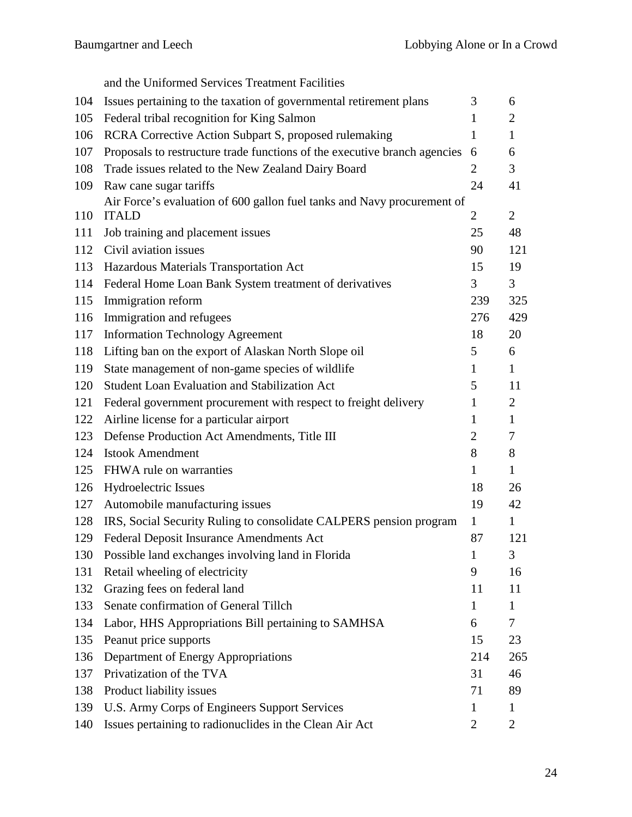and the Uniformed Services Treatment Facilities 104 Issues pertaining to the taxation of governmental retirement plans  $\frac{3}{10}$  6 105 Federal tribal recognition for King Salmon 1 2 106 RCRA Corrective Action Subpart S, proposed rulemaking 1 1 1 107 Proposals to restructure trade functions of the executive branch agencies 6 6 108 Trade issues related to the New Zealand Dairy Board 2 3 109 Raw cane sugar tariffs 24 41 110 ITALD Air Force's evaluation of 600 gallon fuel tanks and Navy procurement of ITALD  $2 \t 2$ 111 Job training and placement issues 25 48 112 Civil aviation issues 90 121 113 Hazardous Materials Transportation Act 15 19 114 Federal Home Loan Bank System treatment of derivatives 3 3 115 Immigration reform 239 325 116 Immigration and refugees 276 429 117 Information Technology Agreement 18 20 118 Lifting ban on the export of Alaskan North Slope oil 5 6 119 State management of non-game species of wildlife 1 1 120 Student Loan Evaluation and Stabilization Act 5 11 121 Federal government procurement with respect to freight delivery 1 2 122 Airline license for a particular airport 1 1 123 Defense Production Act Amendments, Title III 2 7 124 Istook Amendment 8 8 8 125 FHWA rule on warranties 1 1 1 1 1 126 Hydroelectric Issues 18 26 127 Automobile manufacturing issues 19 42 128 IRS, Social Security Ruling to consolidate CALPERS pension program 1 1 129 Federal Deposit Insurance Amendments Act 87 121 130 Possible land exchanges involving land in Florida 1 3 131 Retail wheeling of electricity 9 16 132 Grazing fees on federal land 11 11 11 11 11 133 Senate confirmation of General Tillch 1 1 134 Labor, HHS Appropriations Bill pertaining to SAMHSA 6 7 135 Peanut price supports 15 23 136 Department of Energy Appropriations 214 265 137 Privatization of the TVA 31 46 138 Product liability issues 71 89 139 U.S. Army Corps of Engineers Support Services 1 1 1 140 Issues pertaining to radionuclides in the Clean Air Act 2 2